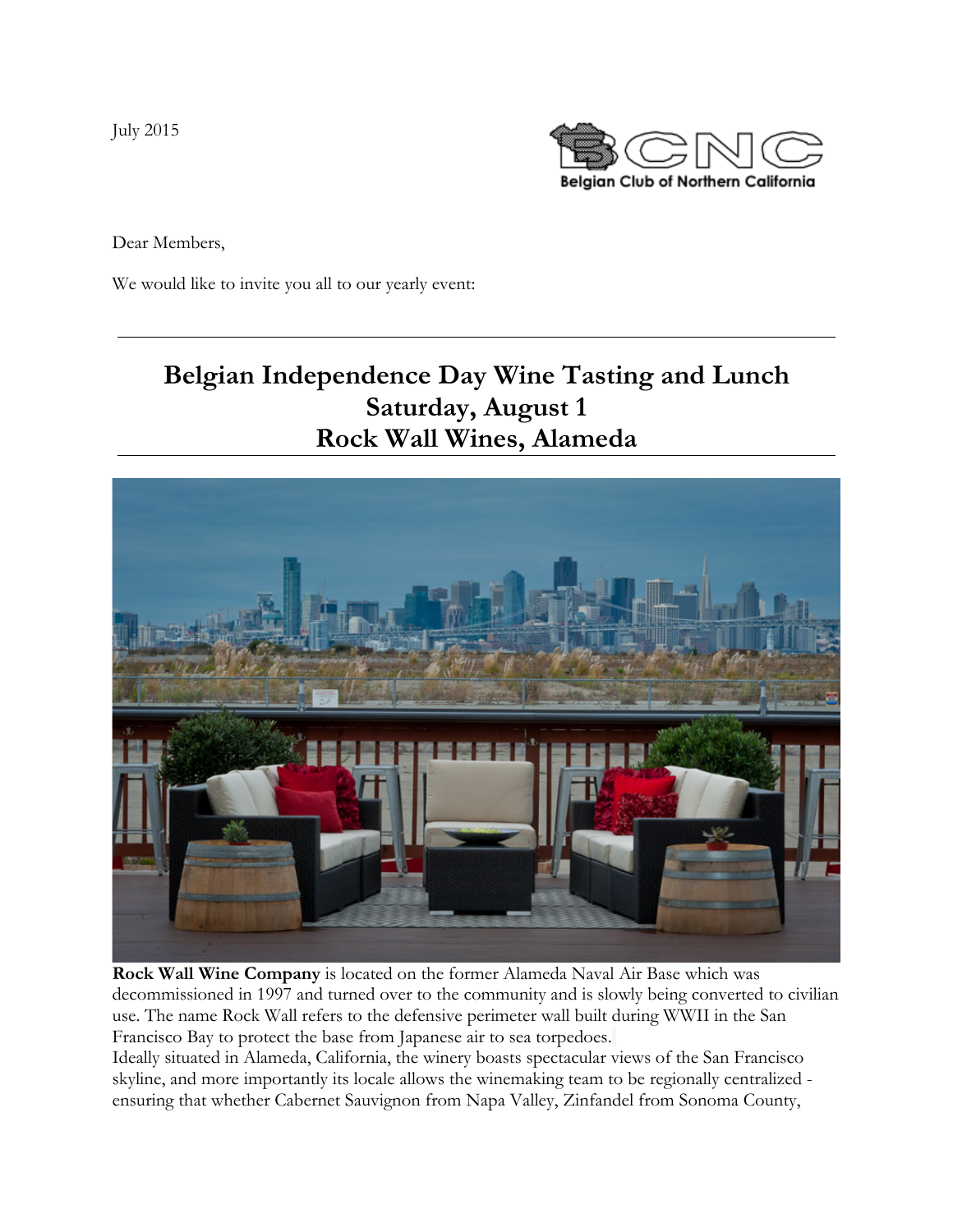July 2015



Dear Members,

We would like to invite you all to our yearly event:

# **Belgian Independence Day Wine Tasting and Lunch Saturday, August 1 Rock Wall Wines, Alameda**



**Rock Wall Wine Company** is located on the former Alameda Naval Air Base which was decommissioned in 1997 and turned over to the community and is slowly being converted to civilian use. The name Rock Wall refers to the defensive perimeter wall built during WWII in the San Francisco Bay to protect the base from Japanese air to sea torpedoes.

Ideally situated in Alameda, California, the winery boasts spectacular views of the San Francisco skyline, and more importantly its locale allows the winemaking team to be regionally centralized ensuring that whether Cabernet Sauvignon from Napa Valley, Zinfandel from Sonoma County,